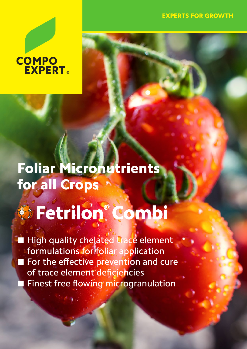## **COMPO EXPERT**

# Foliar Micronutrients for all Crops

### Zn Fe Mn  $\mathcal{C}$

■ High quality chelated trace element formulations for foliar application ■ For the effective prevention and cure of trace element deficiencies **Finest free flowing microgranulation**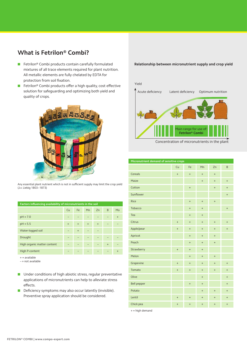## **What is Fetrilon® Combi?**

- Fetrilon<sup>®</sup> Combi products contain carefully formulated mixtures of all trace elements required for plant nutrition. All metallic elements are fully chelated by EDTA for protection from soil fixation.
- Fetrilon<sup>®</sup> Combi products offer a high quality, cost effective solution for safeguarding and optimizing both yield and quality of crops.



Any essential plant nutrient which is not in sufficient supply may limit the crop yield (J.v. Liebig 1803–1873)

| Factors influencing availability of micronutrients in the soil |     |     |     |     |     |     |
|----------------------------------------------------------------|-----|-----|-----|-----|-----|-----|
|                                                                | Cu  | Fe  | Mn  | Zn  | B   | Mo  |
| pH > 7.0                                                       |     |     |     |     |     | $+$ |
| pH < 5.5                                                       | $+$ | $+$ | $+$ | $+$ |     |     |
| Water-logged soil                                              |     | $+$ |     |     |     |     |
| Drought                                                        |     |     |     |     |     |     |
| High organic matter content                                    |     |     |     |     | $+$ |     |
| High P-content                                                 |     |     |     |     |     | $+$ |

 $+=$  available  $=$  not available

- Under conditions of high abiotic stress, regular preventative applications of micronutrients can help to alleviate stress effects.
- Deficiency symptoms may also occur latently (invisible). Preventive spray application should be considered.

#### **Relationship between micronutrient supply and crop yield**



Concentration of micronutrients in the plant

| Micronutrient demand of sensitive crops |           |                                  |                   |                   |                                  |
|-----------------------------------------|-----------|----------------------------------|-------------------|-------------------|----------------------------------|
|                                         | Cu        | Fe                               | Mn                | Zn                | B                                |
| Cereals                                 | $^{+}$    | $\qquad \qquad +$                | $\qquad \qquad +$ | $\qquad \qquad +$ |                                  |
| Maize                                   |           |                                  | $\qquad \qquad +$ | $\qquad \qquad +$ | $\ddot{}$                        |
| Cotton                                  |           | $^{+}$                           |                   | $+$               | $\ddot{}$                        |
| Sunflower                               |           |                                  |                   |                   | $\ddot{}$                        |
| Rice                                    |           | $\qquad \qquad +$                | $^{+}$            | $^{+}$            |                                  |
| Tobacco                                 |           | $\qquad \qquad +$                | $\ddot{}$         |                   | $\ddot{}$                        |
| Tea                                     |           | $\qquad \qquad +$                | $\ddot{}$         |                   |                                  |
| Citrus                                  | $^{+}$    | $\qquad \qquad +$                | $\qquad \qquad +$ | $\qquad \qquad +$ | $^{+}$                           |
| Apple/pear                              | $^{+}$    | $\begin{array}{c} + \end{array}$ | $^{+}$            | $^{+}$            | $^{+}$                           |
| Apricot                                 |           | $\qquad \qquad +$                | $^{+}$            | $\ddot{}$         |                                  |
| Peach                                   |           | $+$                              | $\ddot{}$         | $\qquad \qquad +$ |                                  |
| Strawberry                              | $^{+}$    | $\qquad \qquad +$                | $\qquad \qquad +$ |                   |                                  |
| Melon                                   |           | $\qquad \qquad +$                | $^{+}$            | $\ddot{}$         |                                  |
| Grapevine                               | $\ddot{}$ | $^{+}$                           | $\ddot{}$         | $\ddot{}$         | $\ddot{}$                        |
| Tomato                                  | $^{+}$    | $\qquad \qquad +$                | $\qquad \qquad +$ | $^+$              | $\ddot{}$                        |
| Olive                                   |           |                                  | $^{+}$            |                   | $^{+}$                           |
| <b>Bell pepper</b>                      |           | $\qquad \qquad +$                | $^{+}$            |                   | $^{+}$                           |
| Potato                                  |           |                                  | $\ddot{}$         | $\ddot{}$         | $^{+}$                           |
| Lentil                                  | $^{+}$    | $^+$                             | $\qquad \qquad +$ | $+$               | $\begin{array}{c} + \end{array}$ |
| Chick pea                               | $^{+}$    | $^{+}$                           | $^{+}$            | $^{+}$            | $\begin{array}{c} + \end{array}$ |

+ = high demand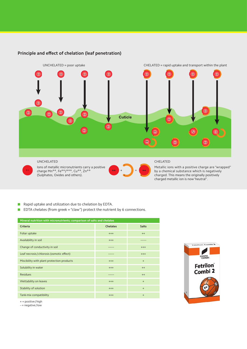#### **Principle and effect of chelation (leaf penetration)**



#### UNCHELATED



Ions of metallic micronutrients carry a positive charge Mn++, Fe++/+++, Cu++, Zn++ (Sulphates, Oxides and others).

CHELATED

Metallic ions with a positive charge are "wrapped" by a chemical substance which is negatively charged. This means the originally positively charged metallic ion is now "neutral".

- Rapid uptake and utilization due to chelation by EDTA.
- EDTA chelates (from greek = "claw") protect the nutrient by 6 connections.

| Mineral nutrition with micronutrients; comparison of salts and chelates |                 |              |  |  |
|-------------------------------------------------------------------------|-----------------|--------------|--|--|
| Criteria                                                                | <b>Chelates</b> | <b>Salts</b> |  |  |
| Foliar uptake                                                           | $^{+++}$        | $++$         |  |  |
| Availability in soil                                                    | $^{+++}$        |              |  |  |
| Change of conductivity in soil                                          |                 | $^{+++}$     |  |  |
| Leaf necrosis / chlorosis (osmotic effect)                              |                 | $^{+++}$     |  |  |
| Miscibility with plant protection products                              | $+++$           | $^{+}$       |  |  |
| Solubility in water                                                     | $^{+++}$        | $^{++}$      |  |  |
| <b>Residues</b>                                                         |                 | $^{++}$      |  |  |
| Wettability on leaves                                                   | $+++$           | $^{+}$       |  |  |
| Stability of solution                                                   | $^{+++}$        | $^{+}$       |  |  |
| Tank-mix compatibility                                                  | $^{+++}$        | $^{+}$       |  |  |



+ = positive/high

– = negative/low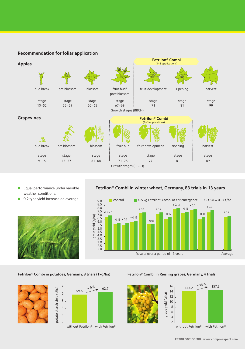#### **Recommendation for foliar application**



- Equal performance under variable weather conditions.
- 0.2 t/ha yield increase on average. <sub>9.0</sub>



### **Fetrilon® Combi in winter wheat, Germany, 83 trials in 13 years**



#### **Fetrilon® Combi in potatoes, Germany, 8 trials (1kg/ha) Fetrilon® Combi in Riesling grapes, Germany, 4 trials**





without Fetrilon® with Fetrilon®

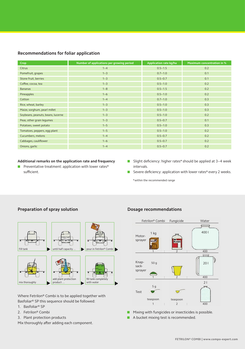#### **Recommendations for foliar application**

| <b>Crop</b>                       | Number of applications per growing period | Application rate kg/ha | Maximum concentration in % |
|-----------------------------------|-------------------------------------------|------------------------|----------------------------|
| Citrus                            | $1 - 4$                                   | $0.5 - 1.5$            | 0.2                        |
| Pomefruit, grapes                 | $1 - 3$                                   | $0.7 - 1.0$            | 0.1                        |
| Stone fruit, berries              | $1 - 3$                                   | $0.5 - 0.7$            | 0.1                        |
| Coffee, cocoa, tea                | $1 - 3$                                   | $0.5 - 1.0$            | 0.2                        |
| <b>Bananas</b>                    | $1 - 8$                                   | $0.5 - 1.5$            | 0.2                        |
| Pineapples                        | $1 - 6$                                   | $0.5 - 1.0$            | 0.2                        |
| Cotton                            | $1 - 4$                                   | $0.7 - 1.0$            | 0.3                        |
| Rice, wheat, barley               | $1 - 3$                                   | $0.5 - 1.0$            | 0.3                        |
| Maize, sorghum, pearl millet      | $1 - 3$                                   | $0.5 - 1.0$            | 0.3                        |
| Soybeans, peanuts, beans, lucerne | $1 - 3$                                   | $0.5 - 1.0$            | 0.2                        |
| Peas, other grain legumes         | $1 - 3$                                   | $0.5 - 0.7$            | 0.1                        |
| Potatoes, sweet potato            | $1 - 5$                                   | $0.5 - 1.0$            | 0.3                        |
| Tomatoes, peppers, egg plant      | $1 - 5$                                   | $0.5 - 1.0$            | 0.2                        |
| Cucumbers, melons                 | $1 - 4$                                   | $0.5 - 0.7$            | 0.2                        |
| Cabbages, cauliflower             | $1 - 6$                                   | $0.5 - 0.7$            | 0.2                        |
| Onions, garlic                    | $1 - 4$                                   | $0.5 - 0.7$            | 0.2                        |

#### **Additional remarks on the application rate and frequency**

- Preventative treatment: application with lower rates\* sufficient.
- Slight deficiency: higher rates\* should be applied at 3-4 week intervals.
- Severe deficiency: application with lower rates\* every 2 weeks.

\*within the recommended range

#### **Preparation of spray solution Dosage recommendations**



Where Fetrilon® Combi is to be applied together with Basfoliar® SP this sequence should be followed:

- 1. Basfoliar® SP
- 2. Fetrilon® Combi
- 3. Plant protection products

Mix thoroughly after adding each component.



■ Mixing with fungicides or insecticides is possible.

■ A bucket mixing test is recommended.